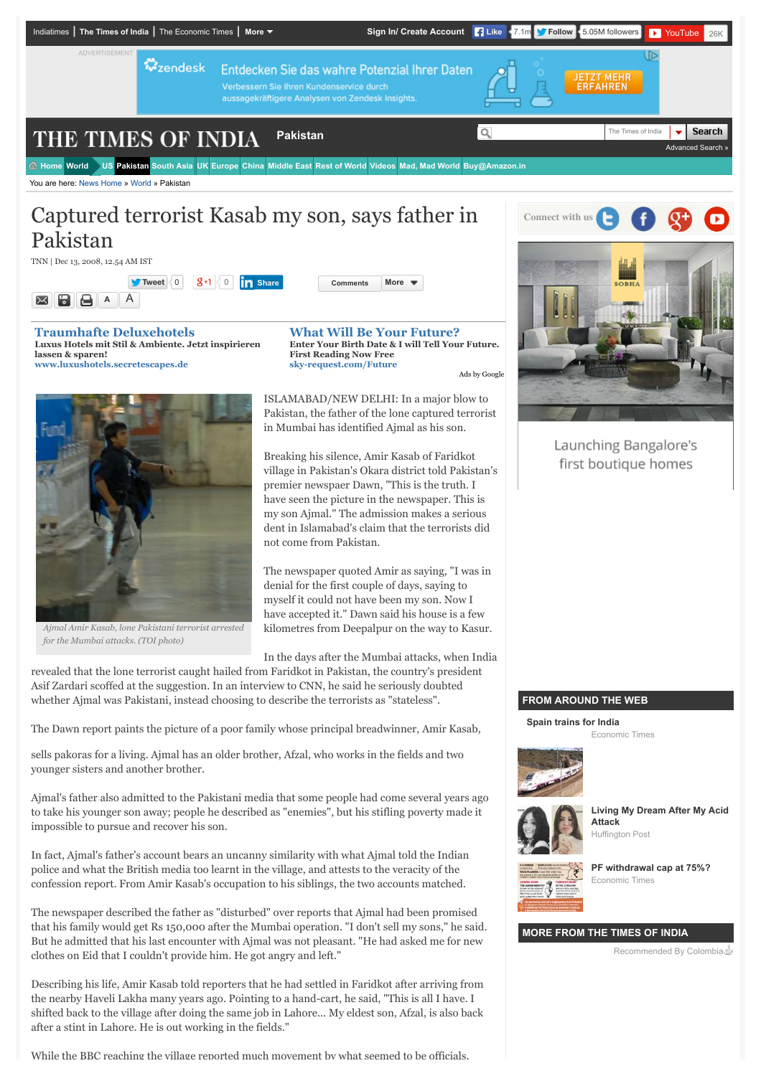

TNN | Dec 13, 2008, 12.54 AM IST

 $\overline{\mathbf{X}}$ 

**[Tweet](https://twitter.com/intent/tweet?original_referer=http%3A%2F%2Ftimesofindia.indiatimes.com%2Fworld%2Fpakistan%2FCaptured-terrorist-Kasab-my-son-says-father-in-Pakistan%2Farticleshow%2F3827622.cms%3F&ref_src=twsrc%5Etfw&text=Captured%20terrorist%20Kasab%20my%20son%2C%20says%20father%20in%20Pakistan&tw_p=tweetbutton&url=http%3A%2F%2Ftimesofindia.indiatimes.com%2Fworld%2Fpakistan%2FCaptured-terrorist-Kasab-my-son-says-father-in-Pakistan%2Farticleshow%2F3827622.cms&via=timesofindia)** [0](https://twitter.com/search?ref_src=twsrc%5Etfw&q=http%3A%2F%2Ftimesofindia.indiatimes.com%2Fworld%2Fpakistan%2FCaptured-terrorist-Kasab-my-son-says-father-in-Pakistan%2Farticleshow%2F3827622.cms) 0 **[Comments](http://timesofindia.indiatimes.com/world/pakistan/Captured-terrorist-Kasab-my-son-says-father-in-Pakistan/articleshow/3827622.cms?#write) [More](javascript:void(0)) [Share](javascript:void(0);)**  $A \parallel A$ 8 S I

**[Traumhafte Deluxehotels](http://www.googleadservices.com/pagead/aclk?sa=L&ai=CliyBxPvEVdAOiaFsks6M6A2a99qnBvLujdzPAcCNtwEQASCo8KYGKAJglbqugrQHoAG25t7XA8gBAakCyeJ2V5r1uT6oAwGqBOUBT9B4S3ZikHzZIWVqQkQFrOBKkC4HPr9fJXC4_7foJSEf88X94Kvfvy_rJ8-Qb6vwKr4IS6vhXJ8F0gVkDnbydO5PvTs5MVJHJBBLnRnyQNBWO1aoiJunZ3qAfBKcn8mh4iYL0HWvL1gPMyNwdMnahhjd2rK6PiriTLEjwXms0LdyIKwWFkyzD89SJJNsPAgjh3fVvYDcakyKc34fIe96sk8iFZKrearR_l-w2Ri4crLie_S1uoJuVdvwGboB9T5SEAUQc7Xg9XwNVws1_-6diL1pdkVxBQunALjJmJlyDkw5YJmJK4gGAYAHspmhKKgHpr4b2AcB&num=1&cid=5GhTi3zChgQJed3sz7FXhaao&sig=AOD64_3jMQYtHVsCYuJv8abqukR9nUJ7tg&client=ca-timesofindia_site_js&adurl=http://www.secretescapes.de/instant-access/degdn%3Futm_source%3Ddegdn%26utm_medium%3Ddisplay%26utm_campaign%3DcttTXT) Luxus Hotels mit Stil & Ambiente. Jetzt inspirieren lassen & sparen! [www.luxushotels.secretescapes.de](http://www.googleadservices.com/pagead/aclk?sa=L&ai=CliyBxPvEVdAOiaFsks6M6A2a99qnBvLujdzPAcCNtwEQASCo8KYGKAJglbqugrQHoAG25t7XA8gBAakCyeJ2V5r1uT6oAwGqBOUBT9B4S3ZikHzZIWVqQkQFrOBKkC4HPr9fJXC4_7foJSEf88X94Kvfvy_rJ8-Qb6vwKr4IS6vhXJ8F0gVkDnbydO5PvTs5MVJHJBBLnRnyQNBWO1aoiJunZ3qAfBKcn8mh4iYL0HWvL1gPMyNwdMnahhjd2rK6PiriTLEjwXms0LdyIKwWFkyzD89SJJNsPAgjh3fVvYDcakyKc34fIe96sk8iFZKrearR_l-w2Ri4crLie_S1uoJuVdvwGboB9T5SEAUQc7Xg9XwNVws1_-6diL1pdkVxBQunALjJmJlyDkw5YJmJK4gGAYAHspmhKKgHpr4b2AcB&num=1&cid=5GhTi3zChgQJed3sz7FXhaao&sig=AOD64_3jMQYtHVsCYuJv8abqukR9nUJ7tg&client=ca-timesofindia_site_js&adurl=http://www.secretescapes.de/instant-access/degdn%3Futm_source%3Ddegdn%26utm_medium%3Ddisplay%26utm_campaign%3DcttTXT)**

*Ajmal Amir Kasab, lone Pakistani terrorist arrested*

*for the Mumbai attacks. (TOI photo)*

**[What Will Be Your Future?](http://www.googleadservices.com/pagead/aclk?sa=L&ai=ClxZQxPvEVdAOiaFsks6M6A2N2uzCBqWI3fb5AcCNtwEQAiCo8KYGKAJglbqugrQHoAHD5OrPA8gBAakCNMk1rec3sj6oAwGqBOIBT9B4S3Zik3zZIWVqQkQFrOBKkC4HPr9fJXC4_7foJSEf88X94Kvfvy_rJ8-Qb6vwKr4IS6vhXJ8F0gVkDnbydO5PvTs5MVJHJBBLnRnyQNBWO1aoiJunZ3qAfBKcn8mh4iYL0HWvL1gPMyNwdMnahhjd2rK6PiriTLEjwXms0LdyIKwWFkyzD89SJJNsPAgjh3fVvYDcakyKc34fIe96sk8iFZKrearR_l-w2Ri4crLie_T9uiZ1myKArSLOHubs-e6Kcajg9okOU_42yx-euUxqdzB6LX6sKE3MmXlykhPLiogGAYAHpZuVMKgHpr4b2AcB&num=2&cid=5GhTi3zChgQJed3sz7FXhaao&sig=AOD64_1Z6Q49QwlD-jwoTrq0q6cQ1Y73Cw&client=ca-timesofindia_site_js&adurl=https://sky-request.com/FreeReading.html%3Fpk_campaign%3Dplacements_m%26pk_kwd%3Dpsychic) Enter Your Birth Date & I will Tell Your Future. First Reading Now Free [sky-request.com/Future](http://www.googleadservices.com/pagead/aclk?sa=L&ai=ClxZQxPvEVdAOiaFsks6M6A2N2uzCBqWI3fb5AcCNtwEQAiCo8KYGKAJglbqugrQHoAHD5OrPA8gBAakCNMk1rec3sj6oAwGqBOIBT9B4S3Zik3zZIWVqQkQFrOBKkC4HPr9fJXC4_7foJSEf88X94Kvfvy_rJ8-Qb6vwKr4IS6vhXJ8F0gVkDnbydO5PvTs5MVJHJBBLnRnyQNBWO1aoiJunZ3qAfBKcn8mh4iYL0HWvL1gPMyNwdMnahhjd2rK6PiriTLEjwXms0LdyIKwWFkyzD89SJJNsPAgjh3fVvYDcakyKc34fIe96sk8iFZKrearR_l-w2Ri4crLie_T9uiZ1myKArSLOHubs-e6Kcajg9okOU_42yx-euUxqdzB6LX6sKE3MmXlykhPLiogGAYAHpZuVMKgHpr4b2AcB&num=2&cid=5GhTi3zChgQJed3sz7FXhaao&sig=AOD64_1Z6Q49QwlD-jwoTrq0q6cQ1Y73Cw&client=ca-timesofindia_site_js&adurl=https://sky-request.com/FreeReading.html%3Fpk_campaign%3Dplacements_m%26pk_kwd%3Dpsychic)** [Ads by Google](https://www.google.com/url?ct=abg&q=https://www.google.com/adsense/support/bin/request.py%3Fcontact%3Dabg_afc%26url%3Dhttp://timesofindia.indiatimes.com/india/11000-page-26/11-Mumbai-attack-chargesheet-had-one-para-on-LeT-Book/articleshow/39503322.cms%26gl%3DDE%26hl%3Den%26client%3Dca-timesofindia_site_js%26hideleadgen%3D1%26ai0%3DCliyBxPvEVdAOiaFsks6M6A2a99qnBvLujdzPAcCNtwEQASCo8KYGKAJglbqugrQHoAG25t7XA8gBAakCyeJ2V5r1uT6oAwGqBOUBT9B4S3ZikHzZIWVqQkQFrOBKkC4HPr9fJXC4_7foJSEf88X94Kvfvy_rJ8-Qb6vwKr4IS6vhXJ8F0gVkDnbydO5PvTs5MVJHJBBLnRnyQNBWO1aoiJunZ3qAfBKcn8mh4iYL0HWvL1gPMyNwdMnahhjd2rK6PiriTLEjwXms0LdyIKwWFkyzD89SJJNsPAgjh3fVvYDcakyKc34fIe96sk8iFZKrearR_l-w2Ri4crLie_S1uoJuVdvwGboB9T5SEAUQc7Xg9XwNVws1_-6diL1pdkVxBQunALjJmJlyDkw5YJmJK4gGAYAHspmhKKgHpr4b2AcB%26ai1%3DClxZQxPvEVdAOiaFsks6M6A2N2uzCBqWI3fb5AcCNtwEQAiCo8KYGKAJglbqugrQHoAHD5OrPA8gBAakCNMk1rec3sj6oAwGqBOIBT9B4S3Zik3zZIWVqQkQFrOBKkC4HPr9fJXC4_7foJSEf88X94Kvfvy_rJ8-Qb6vwKr4IS6vhXJ8F0gVkDnbydO5PvTs5MVJHJBBLnRnyQNBWO1aoiJunZ3qAfBKcn8mh4iYL0HWvL1gPMyNwdMnahhjd2rK6PiriTLEjwXms0LdyIKwWFkyzD89SJJNsPAgjh3fVvYDcakyKc34fIe96sk8iFZKrearR_l-w2Ri4crLie_T9uiZ1myKArSLOHubs-e6Kcajg9okOU_42yx-euUxqdzB6LX6sKE3MmXlykhPLiogGAYAHpZuVMKgHpr4b2AcB&usg=AFQjCNHDehfFXVZDaK5ERyVVWCIOMZWv0A)

ISLAMABAD/NEW DELHI: In a major blow to Pakistan, the father of the lone captured terrorist

in Mumbai has identified Ajmal as his son.

Breaking his silence, Amir Kasab of Faridkot village in Pakistan's Okara district told Pakistan's premier newspaer Dawn, "This is the truth. I have seen the picture in the newspaper. This is my son Ajmal." The admission makes a serious dent in Islamabad's claim that the terrorists did not come from Pakistan.

The newspaper quoted Amir as saying, "I was in denial for the first couple of days, saying to myself it could not have been my son. Now I have accepted it." Dawn said his house is a few kilometres from Deepalpur on the way to Kasur.

In the days after the Mumbai attacks, when India

revealed that the lone terrorist caught hailed from Faridkot in Pakistan, the country's president Asif Zardari scoffed at the suggestion. In an interview to CNN, he said he seriously doubted whether Ajmal was Pakistani, instead choosing to describe the terrorists as "stateless".

The Dawn report paints the picture of a poor family whose principal breadwinner, Amir Kasab,

sells pakoras for a living. Ajmal has an older brother, Afzal, who works in the fields and two younger sisters and another brother.

Ajmal's father also admitted to the Pakistani media that some people had come several years ago to take his younger son away; people he described as "enemies", but his stifling poverty made it impossible to pursue and recover his son.

In fact, Ajmal's father's account bears an uncanny similarity with what Ajmal told the Indian police and what the British media too learnt in the village, and attests to the veracity of the confession report. From Amir Kasab's occupation to his siblings, the two accounts matched.

The newspaper described the father as "disturbed" over reports that Ajmal had been promised that his family would get Rs 150,000 after the Mumbai operation. "I don't sell my sons," he said. But he admitted that his last encounter with Ajmal was not pleasant. "He had asked me for new clothes on Eid that I couldn't provide him. He got angry and left."

Describing his life, Amir Kasab told reporters that he had settled in Faridkot after arriving from the nearby Haveli Lakha many years ago. Pointing to a hand-cart, he said, "This is all I have. I shifted back to the village after doing the same job in Lahore... My eldest son, Afzal, is also back after a stint in Lahore. He is out working in the fields."

While the BBC reaching the village reported much movement by what seemed to be officials



Launching Bangalore's first boutique homes

## **FROM AROUND THE WEB**

**[Spain trains for India](http://ade.clmbtech.com/cde/click.htm?u=http%3A%2F%2Feconomictimes.indiatimes.com%2Fslideshows%2Finfrastructure%2Ftrain-from-spain-talgo-to-run-trial-runs-of-faster-trains-in-india%2Ftrain-from-spain-for-india%2Fslideshow%2F48355155.cms%3Futm_source%3DCTNNetwork%26utm_medium%3Dreferral%26utm_campaign%3DETEDIT_10JULY15&r=Mzc2M2FlY2EtYjYyZi00NmVmLWFjM2QtMjk0NzliZTJlNGU2OjEyOTE0NTphbGw6MjA0NTAyMjowOjE3OTAyMDo3MzI6aHR0cCUzQSUyRiUyRnRpbWVzb2ZpbmRpYS5pbmRpYXRpbWVzLmNvbSUyRndvcmxkJTJGcGFraXN0YW4lMkZDYXB0dXJlZC10ZXJyb3Jpc3QtS2FzYWItbXktc29uLXNheXMtZmF0aGVyLWluLVBha2lzdGFuJTJGYXJ0aWNsZXNob3clMkYzODI3NjIyLmNtcyUzRjo0MTE6NC4xNzE0OTAwNTEyMDEyNDY6Mjk2NTg5MjkyOjM4Mjc2MjI6MToyMzA4OjA6MjY1ODoz&args=)**





**[Living My Dream After My Acid](http://ade.clmbtech.com/cde/click.htm?u=http%3A%2F%2Fwww.huffingtonpost.in%2Fmonica-singh%2Ften-years-after-my-acid-a_b_7927344.html%3Futm_source%3DCOLUMBIA%26utm_medium%3DCOLUMBIA%26utm_campaign%3DCOLUMBIA&r=Mzc2M2FlY2EtYjYyZi00NmVmLWFjM2QtMjk0NzliZTJlNGU2OjEyOTE0NTphbGw6MjA0ODU0MTowOjE1MTM3Mjo3MzI6aHR0cCUzQSUyRiUyRnRpbWVzb2ZpbmRpYS5pbmRpYXRpbWVzLmNvbSUyRndvcmxkJTJGcGFraXN0YW4lMkZDYXB0dXJlZC10ZXJyb3Jpc3QtS2FzYWItbXktc29uLXNheXMtZmF0aGVyLWluLVBha2lzdGFuJTJGYXJ0aWNsZXNob3clMkYzODI3NjIyLmNtcyUzRjo0MTE6Mi4wOjI5NjU4OTI5MjozODI3NjIyOjE6OTY2OTowOjI2NTg6Mw&args=) Attack** Huffington Post



**[PF withdrawal cap at 75%?](http://ade.clmbtech.com/cde/click.htm?u=http%3A%2F%2Feconomictimes.indiatimes.com%2Fnews%2Feconomy%2Fpolicy%2Fgovernment-plans-to-cap-premature-withdrawal-of-pf-money-at-75-of-total-amount%2Farticleshow%2F47967048.cms%3Futm_source%3DCTNNetwork%26utm_medium%3Dreferral%26utm_campaign%3DETEDIT_10JULY15&r=Mzc2M2FlY2EtYjYyZi00NmVmLWFjM2QtMjk0NzliZTJlNGU2OjEyOTE0NTphbGw6MTIwNzA0NDowOjE3OTAyMDo3MzI6aHR0cCUzQSUyRiUyRnRpbWVzb2ZpbmRpYS5pbmRpYXRpbWVzLmNvbSUyRndvcmxkJTJGcGFraXN0YW4lMkZDYXB0dXJlZC10ZXJyb3Jpc3QtS2FzYWItbXktc29uLXNheXMtZmF0aGVyLWluLVBha2lzdGFuJTJGYXJ0aWNsZXNob3clMkYzODI3NjIyLmNtcyUzRjo0MTE6NS4wOjI5NjU4OTI5MjozODI3NjIyOjE6MjMwODowOjI2NTg6Mw&args=)** Economic Times

## **MORE FROM THE TIMES OF INDIA**

Recommended By Colombia